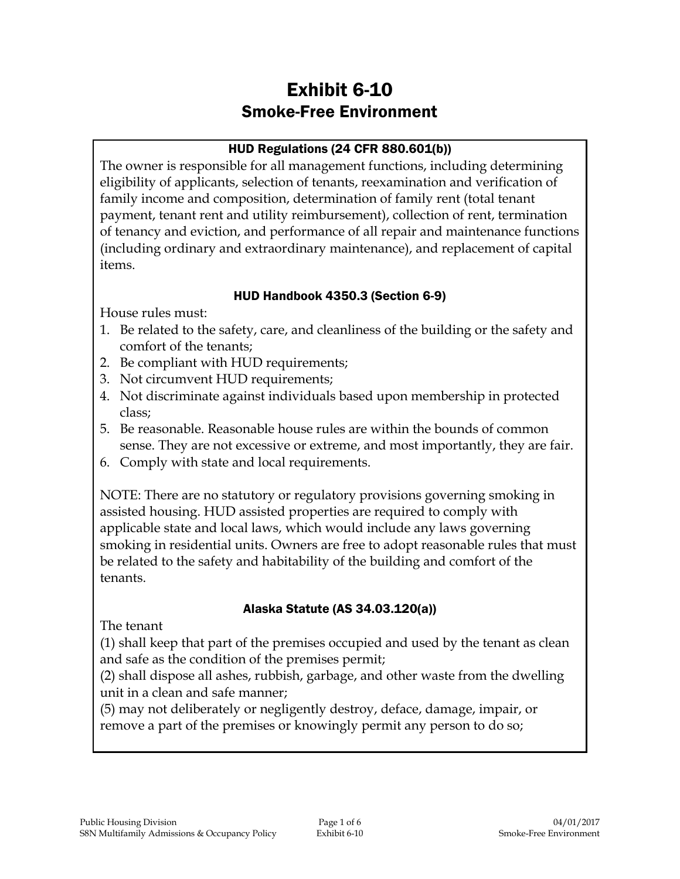# Exhibit 6-10 Smoke-Free Environment

#### HUD Regulations (24 CFR 880.601(b))

The owner is responsible for all management functions, including determining eligibility of applicants, selection of tenants, reexamination and verification of family income and composition, determination of family rent (total tenant payment, tenant rent and utility reimbursement), collection of rent, termination of tenancy and eviction, and performance of all repair and maintenance functions (including ordinary and extraordinary maintenance), and replacement of capital items.

#### HUD Handbook 4350.3 (Section 6-9)

House rules must:

- 1. Be related to the safety, care, and cleanliness of the building or the safety and comfort of the tenants;
- 2. Be compliant with HUD requirements;
- 3. Not circumvent HUD requirements;
- 4. Not discriminate against individuals based upon membership in protected class;
- 5. Be reasonable. Reasonable house rules are within the bounds of common sense. They are not excessive or extreme, and most importantly, they are fair.
- 6. Comply with state and local requirements.

NOTE: There are no statutory or regulatory provisions governing smoking in assisted housing. HUD assisted properties are required to comply with applicable state and local laws, which would include any laws governing smoking in residential units. Owners are free to adopt reasonable rules that must be related to the safety and habitability of the building and comfort of the tenants.

#### Alaska Statute (AS 34.03.120(a))

The tenant

(1) shall keep that part of the premises occupied and used by the tenant as clean and safe as the condition of the premises permit;

(2) shall dispose all ashes, rubbish, garbage, and other waste from the dwelling unit in a clean and safe manner;

(5) may not deliberately or negligently destroy, deface, damage, impair, or remove a part of the premises or knowingly permit any person to do so;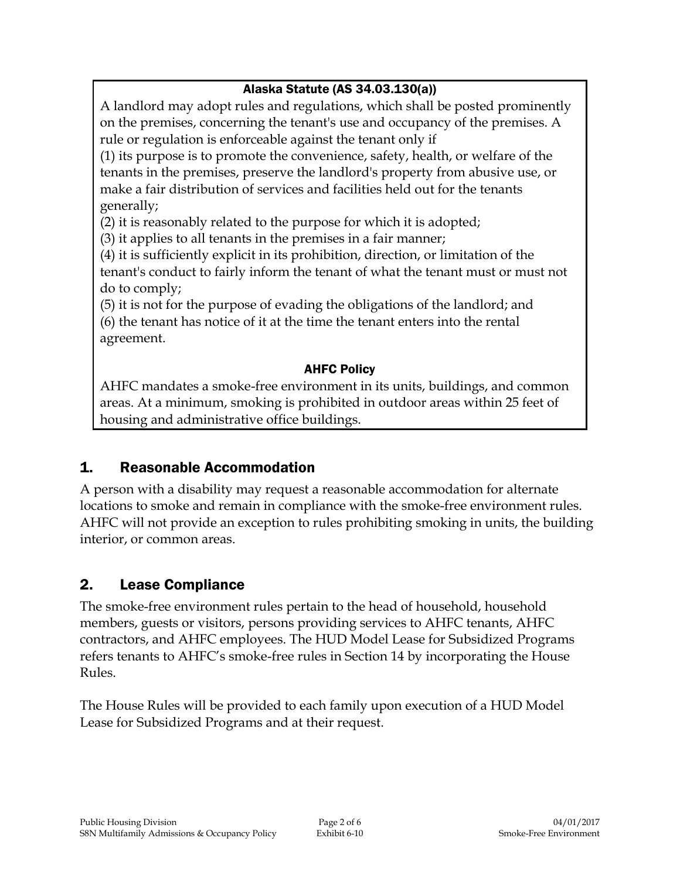# Alaska Statute (AS 34.03.130(a))

A landlord may adopt rules and regulations, which shall be posted prominently on the premises, concerning the tenant's use and occupancy of the premises. A rule or regulation is enforceable against the tenant only if

(1) its purpose is to promote the convenience, safety, health, or welfare of the tenants in the premises, preserve the landlord's property from abusive use, or make a fair distribution of services and facilities held out for the tenants generally;

(2) it is reasonably related to the purpose for which it is adopted;

(3) it applies to all tenants in the premises in a fair manner;

(4) it is sufficiently explicit in its prohibition, direction, or limitation of the tenant's conduct to fairly inform the tenant of what the tenant must or must not do to comply;

(5) it is not for the purpose of evading the obligations of the landlord; and (6) the tenant has notice of it at the time the tenant enters into the rental agreement.

#### AHFC Policy

AHFC mandates a smoke-free environment in its units, buildings, and common areas. At a minimum, smoking is prohibited in outdoor areas within 25 feet of housing and administrative office buildings.

# 1. Reasonable Accommodation

A person with a disability may request a reasonable accommodation for alternate locations to smoke and remain in compliance with the smoke-free environment rules. AHFC will not provide an exception to rules prohibiting smoking in units, the building interior, or common areas.

# 2. Lease Compliance

The smoke-free environment rules pertain to the head of household, household members, guests or visitors, persons providing services to AHFC tenants, AHFC contractors, and AHFC employees. The HUD Model Lease for Subsidized Programs refers tenants to AHFC's smoke-free rules in Section 14 by incorporating the House Rules.

The House Rules will be provided to each family upon execution of a HUD Model Lease for Subsidized Programs and at their request.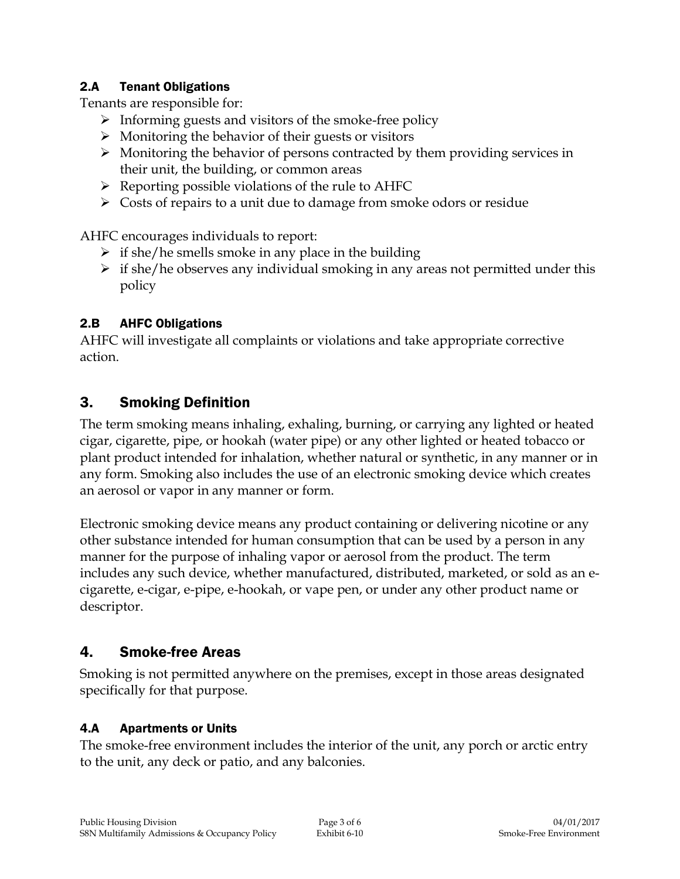#### 2.A Tenant Obligations

Tenants are responsible for:

- $\triangleright$  Informing guests and visitors of the smoke-free policy
- $\triangleright$  Monitoring the behavior of their guests or visitors
- $\triangleright$  Monitoring the behavior of persons contracted by them providing services in their unit, the building, or common areas
- $\triangleright$  Reporting possible violations of the rule to AHFC
- $\triangleright$  Costs of repairs to a unit due to damage from smoke odors or residue

AHFC encourages individuals to report:

- $\triangleright$  if she/he smells smoke in any place in the building
- $\triangleright$  if she/he observes any individual smoking in any areas not permitted under this policy

#### 2.B AHFC Obligations

AHFC will investigate all complaints or violations and take appropriate corrective action.

### 3. Smoking Definition

The term smoking means inhaling, exhaling, burning, or carrying any lighted or heated cigar, cigarette, pipe, or hookah (water pipe) or any other lighted or heated tobacco or plant product intended for inhalation, whether natural or synthetic, in any manner or in any form. Smoking also includes the use of an electronic smoking device which creates an aerosol or vapor in any manner or form.

Electronic smoking device means any product containing or delivering nicotine or any other substance intended for human consumption that can be used by a person in any manner for the purpose of inhaling vapor or aerosol from the product. The term includes any such device, whether manufactured, distributed, marketed, or sold as an ecigarette, e-cigar, e-pipe, e-hookah, or vape pen, or under any other product name or descriptor.

# 4. Smoke-free Areas

Smoking is not permitted anywhere on the premises, except in those areas designated specifically for that purpose.

#### 4.A Apartments or Units

The smoke-free environment includes the interior of the unit, any porch or arctic entry to the unit, any deck or patio, and any balconies.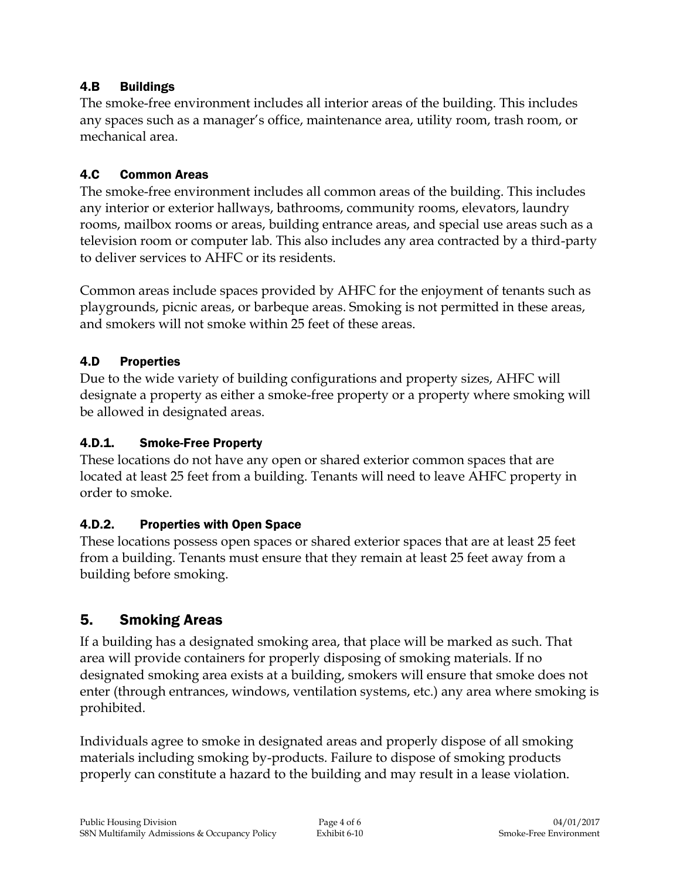#### 4.B Buildings

The smoke-free environment includes all interior areas of the building. This includes any spaces such as a manager's office, maintenance area, utility room, trash room, or mechanical area.

#### 4.C Common Areas

The smoke-free environment includes all common areas of the building. This includes any interior or exterior hallways, bathrooms, community rooms, elevators, laundry rooms, mailbox rooms or areas, building entrance areas, and special use areas such as a television room or computer lab. This also includes any area contracted by a third-party to deliver services to AHFC or its residents.

Common areas include spaces provided by AHFC for the enjoyment of tenants such as playgrounds, picnic areas, or barbeque areas. Smoking is not permitted in these areas, and smokers will not smoke within 25 feet of these areas.

#### 4.D Properties

Due to the wide variety of building configurations and property sizes, AHFC will designate a property as either a smoke-free property or a property where smoking will be allowed in designated areas.

#### 4.D.1. Smoke-Free Property

These locations do not have any open or shared exterior common spaces that are located at least 25 feet from a building. Tenants will need to leave AHFC property in order to smoke.

#### 4.D.2. Properties with Open Space

These locations possess open spaces or shared exterior spaces that are at least 25 feet from a building. Tenants must ensure that they remain at least 25 feet away from a building before smoking.

# 5. Smoking Areas

If a building has a designated smoking area, that place will be marked as such. That area will provide containers for properly disposing of smoking materials. If no designated smoking area exists at a building, smokers will ensure that smoke does not enter (through entrances, windows, ventilation systems, etc.) any area where smoking is prohibited.

Individuals agree to smoke in designated areas and properly dispose of all smoking materials including smoking by-products. Failure to dispose of smoking products properly can constitute a hazard to the building and may result in a lease violation.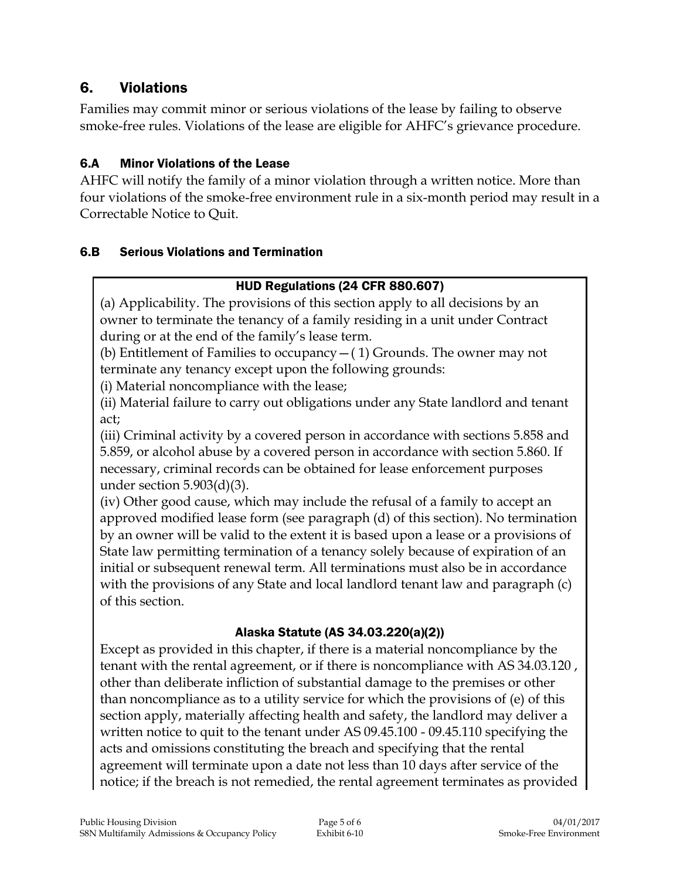# 6. Violations

Families may commit minor or serious violations of the lease by failing to observe smoke-free rules. Violations of the lease are eligible for AHFC's grievance procedure.

#### 6.A Minor Violations of the Lease

AHFC will notify the family of a minor violation through a written notice. More than four violations of the smoke-free environment rule in a six-month period may result in a Correctable Notice to Quit.

#### 6.B Serious Violations and Termination

#### HUD Regulations (24 CFR 880.607)

(a) Applicability. The provisions of this section apply to all decisions by an owner to terminate the tenancy of a family residing in a unit under Contract during or at the end of the family's lease term.

(b) Entitlement of Families to occupancy  $-$  (1) Grounds. The owner may not terminate any tenancy except upon the following grounds:

(i) Material noncompliance with the lease;

(ii) Material failure to carry out obligations under any State landlord and tenant act;

(iii) Criminal activity by a covered person in accordance with sections 5.858 and 5.859, or alcohol abuse by a covered person in accordance with section 5.860. If necessary, criminal records can be obtained for lease enforcement purposes under section  $5.903(d)(3)$ .

(iv) Other good cause, which may include the refusal of a family to accept an approved modified lease form (see paragraph (d) of this section). No termination by an owner will be valid to the extent it is based upon a lease or a provisions of State law permitting termination of a tenancy solely because of expiration of an initial or subsequent renewal term. All terminations must also be in accordance with the provisions of any State and local landlord tenant law and paragraph (c) of this section.

#### Alaska Statute (AS 34.03.220(a)(2))

Except as provided in this chapter, if there is a material noncompliance by the tenant with the rental agreement, or if there is noncompliance with AS 34.03.120 , other than deliberate infliction of substantial damage to the premises or other than noncompliance as to a utility service for which the provisions of (e) of this section apply, materially affecting health and safety, the landlord may deliver a written notice to quit to the tenant under AS 09.45.100 - 09.45.110 specifying the acts and omissions constituting the breach and specifying that the rental agreement will terminate upon a date not less than 10 days after service of the notice; if the breach is not remedied, the rental agreement terminates as provided